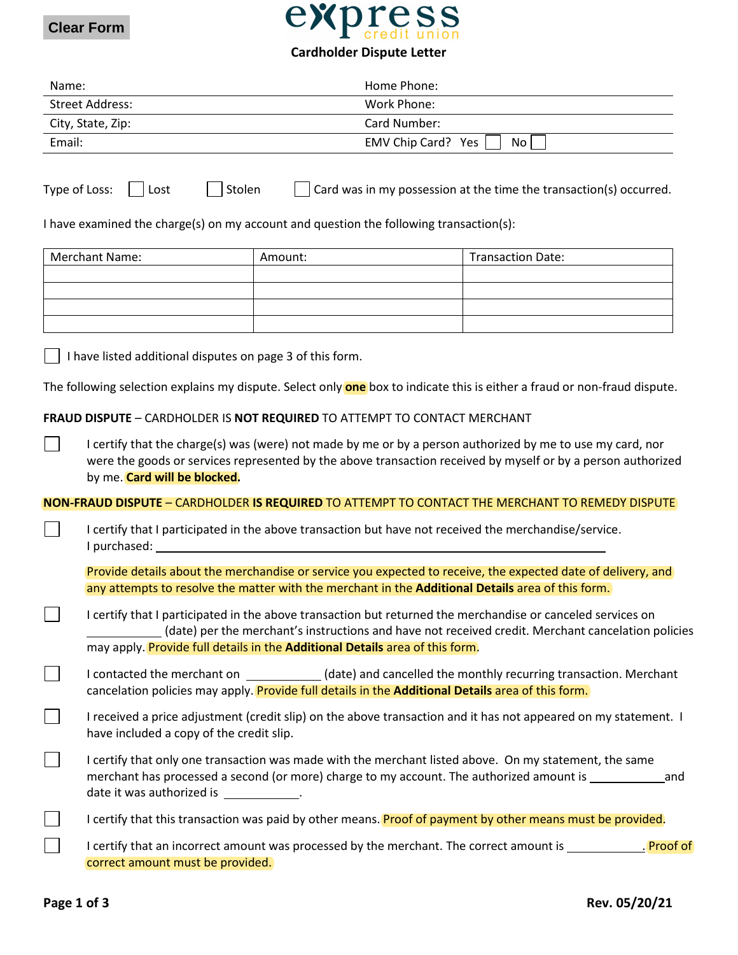



## **Cardholder Dispute Letter**

| Name:                                                                                                                            |                                                                                                                                                                                                                                                                                                   | Home Phone:                                                                                       |                                                                                                                  |  |  |
|----------------------------------------------------------------------------------------------------------------------------------|---------------------------------------------------------------------------------------------------------------------------------------------------------------------------------------------------------------------------------------------------------------------------------------------------|---------------------------------------------------------------------------------------------------|------------------------------------------------------------------------------------------------------------------|--|--|
| <b>Street Address:</b>                                                                                                           |                                                                                                                                                                                                                                                                                                   | Work Phone:                                                                                       |                                                                                                                  |  |  |
|                                                                                                                                  | City, State, Zip:                                                                                                                                                                                                                                                                                 | Card Number:                                                                                      |                                                                                                                  |  |  |
| Email:                                                                                                                           |                                                                                                                                                                                                                                                                                                   | EMV Chip Card? Yes                                                                                | No                                                                                                               |  |  |
|                                                                                                                                  | Type of Loss:<br>Stolen<br>Lost                                                                                                                                                                                                                                                                   | I have examined the charge(s) on my account and question the following transaction(s):            | Card was in my possession at the time the transaction(s) occurred.                                               |  |  |
|                                                                                                                                  | <b>Merchant Name:</b>                                                                                                                                                                                                                                                                             | Amount:                                                                                           | <b>Transaction Date:</b>                                                                                         |  |  |
|                                                                                                                                  |                                                                                                                                                                                                                                                                                                   |                                                                                                   |                                                                                                                  |  |  |
|                                                                                                                                  |                                                                                                                                                                                                                                                                                                   |                                                                                                   |                                                                                                                  |  |  |
|                                                                                                                                  |                                                                                                                                                                                                                                                                                                   |                                                                                                   |                                                                                                                  |  |  |
|                                                                                                                                  |                                                                                                                                                                                                                                                                                                   |                                                                                                   |                                                                                                                  |  |  |
| I have listed additional disputes on page 3 of this form.                                                                        |                                                                                                                                                                                                                                                                                                   |                                                                                                   |                                                                                                                  |  |  |
| The following selection explains my dispute. Select only <b>one</b> box to indicate this is either a fraud or non-fraud dispute. |                                                                                                                                                                                                                                                                                                   |                                                                                                   |                                                                                                                  |  |  |
| FRAUD DISPUTE - CARDHOLDER IS NOT REQUIRED TO ATTEMPT TO CONTACT MERCHANT                                                        |                                                                                                                                                                                                                                                                                                   |                                                                                                   |                                                                                                                  |  |  |
|                                                                                                                                  | I certify that the charge(s) was (were) not made by me or by a person authorized by me to use my card, nor<br>were the goods or services represented by the above transaction received by myself or by a person authorized<br>by me. Card will be blocked.                                        |                                                                                                   |                                                                                                                  |  |  |
|                                                                                                                                  |                                                                                                                                                                                                                                                                                                   |                                                                                                   | NON-FRAUD DISPUTE - CARDHOLDER IS REQUIRED TO ATTEMPT TO CONTACT THE MERCHANT TO REMEDY DISPUTE                  |  |  |
|                                                                                                                                  | I certify that I participated in the above transaction but have not received the merchandise/service.<br>I purchased:                                                                                                                                                                             |                                                                                                   |                                                                                                                  |  |  |
|                                                                                                                                  |                                                                                                                                                                                                                                                                                                   | any attempts to resolve the matter with the merchant in the Additional Details area of this form. | Provide details about the merchandise or service you expected to receive, the expected date of delivery, and     |  |  |
|                                                                                                                                  | I certify that I participated in the above transaction but returned the merchandise or canceled services on<br>(date) per the merchant's instructions and have not received credit. Merchant cancelation policies<br>may apply. Provide full details in the Additional Details area of this form. |                                                                                                   |                                                                                                                  |  |  |
|                                                                                                                                  | I contacted the merchant on _____________(date) and cancelled the monthly recurring transaction. Merchant<br>cancelation policies may apply. Provide full details in the Additional Details area of this form.                                                                                    |                                                                                                   |                                                                                                                  |  |  |
|                                                                                                                                  | I received a price adjustment (credit slip) on the above transaction and it has not appeared on my statement. I<br>have included a copy of the credit slip.                                                                                                                                       |                                                                                                   |                                                                                                                  |  |  |
|                                                                                                                                  | I certify that only one transaction was made with the merchant listed above. On my statement, the same<br>merchant has processed a second (or more) charge to my account. The authorized amount is __________<br>and<br>date it was authorized is _____________.                                  |                                                                                                   |                                                                                                                  |  |  |
|                                                                                                                                  | I certify that this transaction was paid by other means. Proof of payment by other means must be provided.                                                                                                                                                                                        |                                                                                                   |                                                                                                                  |  |  |
|                                                                                                                                  | correct amount must be provided.                                                                                                                                                                                                                                                                  |                                                                                                   | I certify that an incorrect amount was processed by the merchant. The correct amount is ______________. Proof of |  |  |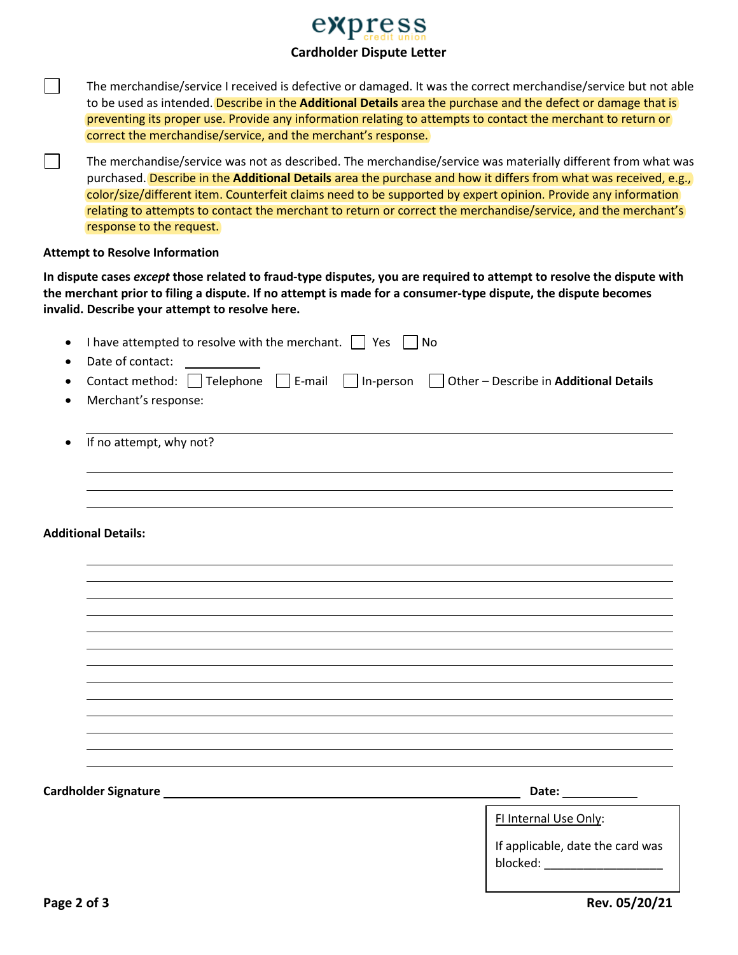## express **Cardholder Dispute Letter**

The merchandise/service I received is defective or damaged. It was the correct merchandise/service but not able to be used as intended. Describe in the **Additional Details** area the purchase and the defect or damage that is preventing its proper use. Provide any information relating to attempts to contact the merchant to return or correct the merchandise/service, and the merchant's response.

The merchandise/service was not as described. The merchandise/service was materially different from what was purchased. Describe in the **Additional Details** area the purchase and how it differs from what was received, e.g., color/size/different item. Counterfeit claims need to be supported by expert opinion. Provide any information relating to attempts to contact the merchant to return or correct the merchandise/service, and the merchant's response to the request.

## **Attempt to Resolve Information**

 $\mathbf{I}$ 

 $\mathbf{I}$ 

**In dispute cases** *except* **those related to fraud-type disputes, you are required to attempt to resolve the dispute with the merchant prior to filing a dispute. If no attempt is made for a consumer-type dispute, the dispute becomes invalid. Describe your attempt to resolve here.**

| I have attempted to resolve with the merchant. $\Box$ Yes $\Box$<br>Date of contact:                       | No                                                                                          |
|------------------------------------------------------------------------------------------------------------|---------------------------------------------------------------------------------------------|
| Contact method: Telephone E-mail In-person Dother - Describe in Additional Details<br>Merchant's response: |                                                                                             |
| If no attempt, why not?<br>$\bullet$                                                                       |                                                                                             |
| <b>Additional Details:</b>                                                                                 |                                                                                             |
|                                                                                                            |                                                                                             |
|                                                                                                            |                                                                                             |
|                                                                                                            |                                                                                             |
|                                                                                                            |                                                                                             |
|                                                                                                            | Date: ____________                                                                          |
|                                                                                                            | FI Internal Use Only:<br>If applicable, date the card was<br>blocked: _____________________ |
| Page 2 of 3                                                                                                | Rev. 05/20/21                                                                               |